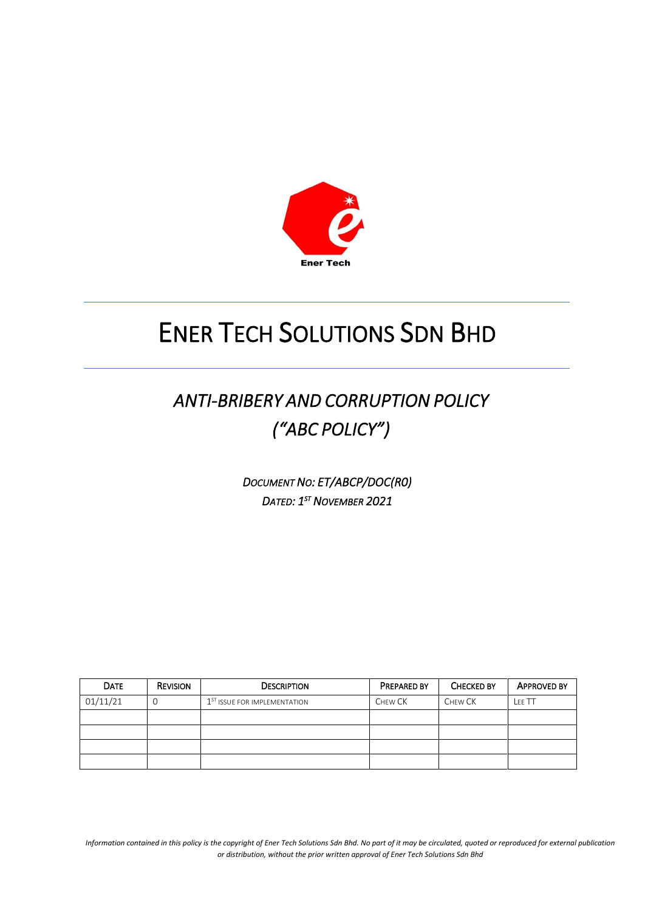

## *ANTI-BRIBERY AND CORRUPTION POLICY ("ABC POLICY")*

*DOCUMENT NO: ET/ABCP/DOC(R0) DATED: 1 ST NOVEMBER 2021*

| <b>DATE</b> | <b>REVISION</b> | <b>DESCRIPTION</b>                       | <b>PREPARED BY</b> | <b>CHECKED BY</b> | <b>APPROVED BY</b> |
|-------------|-----------------|------------------------------------------|--------------------|-------------------|--------------------|
| 01/11/21    |                 | 1 <sup>ST</sup> ISSUE FOR IMPLEMENTATION | CHEW CK            | CHEW CK           | LEE TT             |
|             |                 |                                          |                    |                   |                    |
|             |                 |                                          |                    |                   |                    |
|             |                 |                                          |                    |                   |                    |
|             |                 |                                          |                    |                   |                    |

Information contained in this policy is the copyright of Ener Tech Solutions Sdn Bhd. No part of it may be circulated, quoted or reproduced for external publication *or distribution, without the prior written approval of Ener Tech Solutions Sdn Bhd*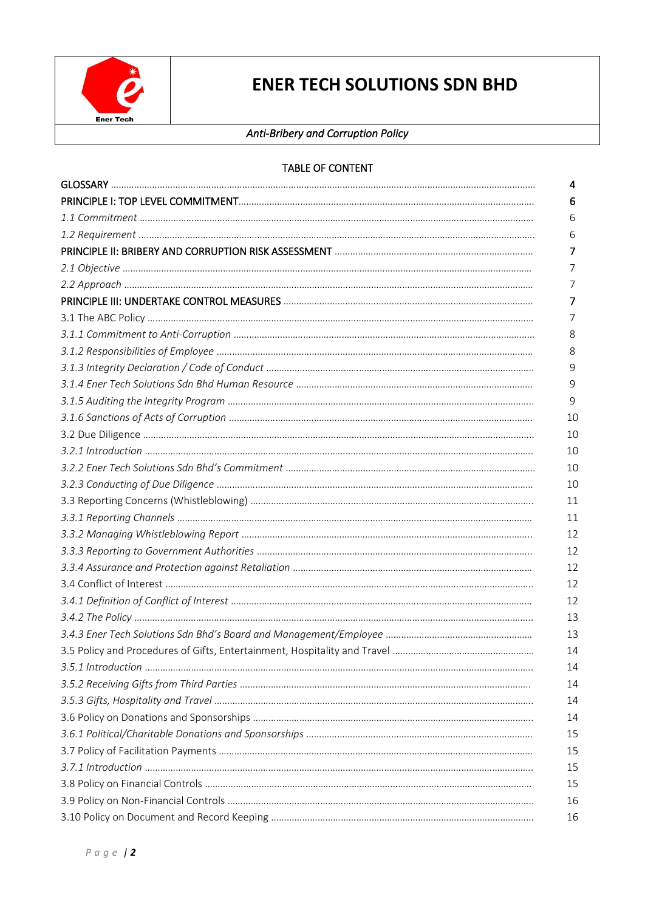

## *Anti-Bribery and Corruption Policy*

| 4  |
|----|
| 6  |
| 6  |
| 6  |
| 7  |
| 7  |
| 7  |
| 7  |
| 7  |
| 8  |
| 8  |
| 9  |
| 9  |
| 9  |
| 10 |
| 10 |
| 10 |
| 10 |
| 10 |
| 11 |
| 11 |
| 12 |
| 12 |
| 12 |
| 12 |
| 12 |
| 13 |
| 13 |
| 14 |
| 14 |
| 14 |
| 14 |
| 14 |
| 15 |
| 15 |
| 15 |
| 15 |
| 16 |
| 16 |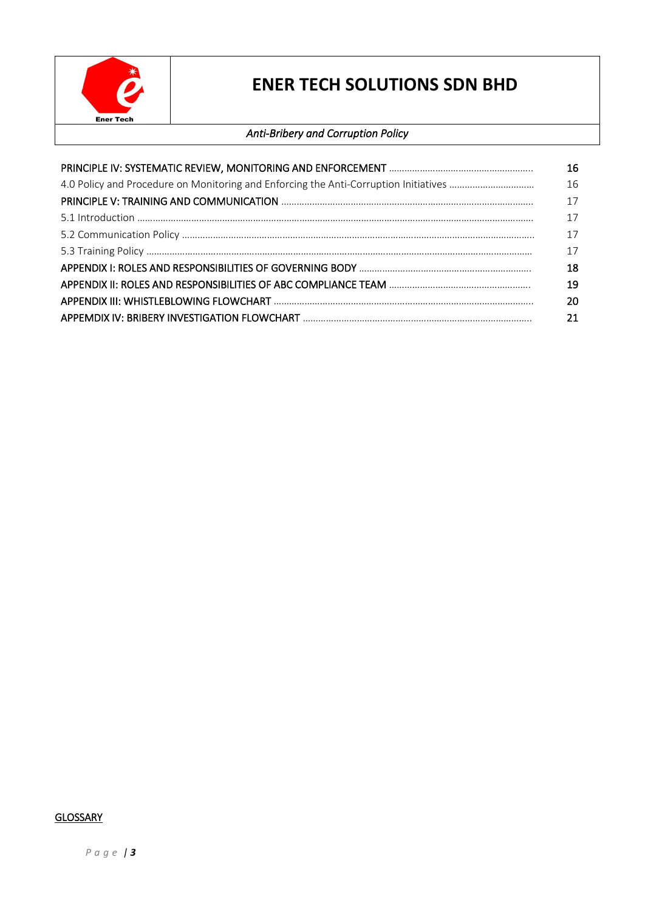

## *Anti-Bribery and Corruption Policy*

| 16 |
|----|
| 16 |
| 17 |
| 17 |
| 17 |
| 17 |
| 18 |
| 19 |
| 20 |
| 21 |

## **GLOSSARY**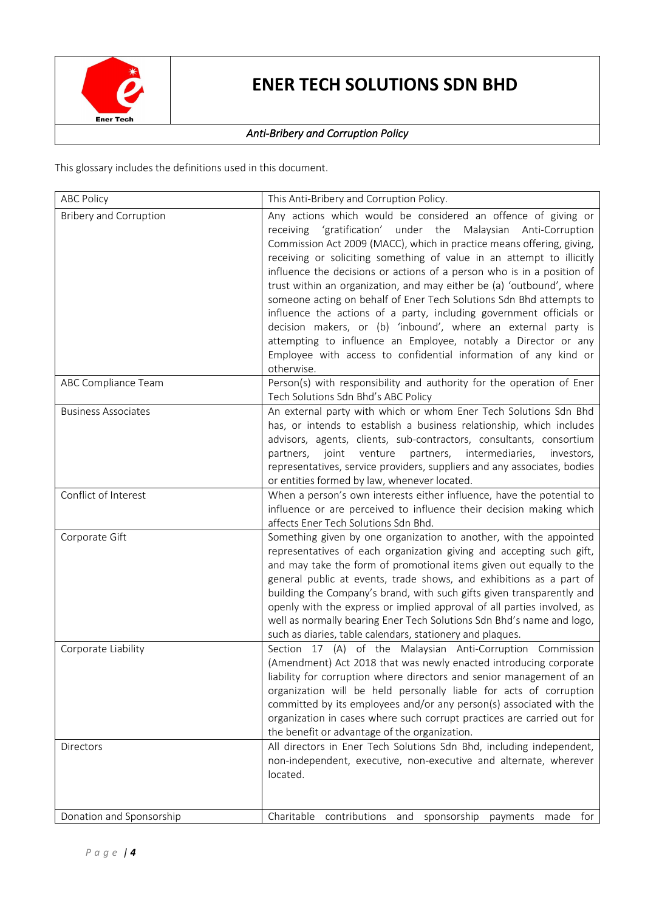

## *Anti-Bribery and Corruption Policy*

This glossary includes the definitions used in this document.

| <b>ABC Policy</b>             | This Anti-Bribery and Corruption Policy.                                                                                                                                                                                                                                                                                                                                                                                                                                                                                                                                                                                                                                                                                                                                                                       |
|-------------------------------|----------------------------------------------------------------------------------------------------------------------------------------------------------------------------------------------------------------------------------------------------------------------------------------------------------------------------------------------------------------------------------------------------------------------------------------------------------------------------------------------------------------------------------------------------------------------------------------------------------------------------------------------------------------------------------------------------------------------------------------------------------------------------------------------------------------|
| <b>Bribery and Corruption</b> | Any actions which would be considered an offence of giving or<br>'gratification' under the<br>receiving<br>Malaysian<br>Anti-Corruption<br>Commission Act 2009 (MACC), which in practice means offering, giving,<br>receiving or soliciting something of value in an attempt to illicitly<br>influence the decisions or actions of a person who is in a position of<br>trust within an organization, and may either be (a) 'outbound', where<br>someone acting on behalf of Ener Tech Solutions Sdn Bhd attempts to<br>influence the actions of a party, including government officials or<br>decision makers, or (b) 'inbound', where an external party is<br>attempting to influence an Employee, notably a Director or any<br>Employee with access to confidential information of any kind or<br>otherwise. |
| ABC Compliance Team           | Person(s) with responsibility and authority for the operation of Ener<br>Tech Solutions Sdn Bhd's ABC Policy                                                                                                                                                                                                                                                                                                                                                                                                                                                                                                                                                                                                                                                                                                   |
| <b>Business Associates</b>    | An external party with which or whom Ener Tech Solutions Sdn Bhd<br>has, or intends to establish a business relationship, which includes<br>advisors, agents, clients, sub-contractors, consultants, consortium<br>intermediaries,<br>joint<br>venture<br>partners,<br>partners,<br>investors,<br>representatives, service providers, suppliers and any associates, bodies<br>or entities formed by law, whenever located.                                                                                                                                                                                                                                                                                                                                                                                     |
| Conflict of Interest          | When a person's own interests either influence, have the potential to<br>influence or are perceived to influence their decision making which<br>affects Ener Tech Solutions Sdn Bhd.                                                                                                                                                                                                                                                                                                                                                                                                                                                                                                                                                                                                                           |
| Corporate Gift                | Something given by one organization to another, with the appointed<br>representatives of each organization giving and accepting such gift,<br>and may take the form of promotional items given out equally to the<br>general public at events, trade shows, and exhibitions as a part of<br>building the Company's brand, with such gifts given transparently and<br>openly with the express or implied approval of all parties involved, as<br>well as normally bearing Ener Tech Solutions Sdn Bhd's name and logo,<br>such as diaries, table calendars, stationery and plaques.                                                                                                                                                                                                                             |
| Corporate Liability           | Section 17 (A) of the Malaysian Anti-Corruption Commission<br>(Amendment) Act 2018 that was newly enacted introducing corporate<br>liability for corruption where directors and senior management of an<br>organization will be held personally liable for acts of corruption<br>committed by its employees and/or any person(s) associated with the<br>organization in cases where such corrupt practices are carried out for<br>the benefit or advantage of the organization.                                                                                                                                                                                                                                                                                                                                |
| <b>Directors</b>              | All directors in Ener Tech Solutions Sdn Bhd, including independent,<br>non-independent, executive, non-executive and alternate, wherever<br>located.                                                                                                                                                                                                                                                                                                                                                                                                                                                                                                                                                                                                                                                          |
| Donation and Sponsorship      | Charitable<br>contributions<br>sponsorship<br>and<br>payments<br>for<br>made                                                                                                                                                                                                                                                                                                                                                                                                                                                                                                                                                                                                                                                                                                                                   |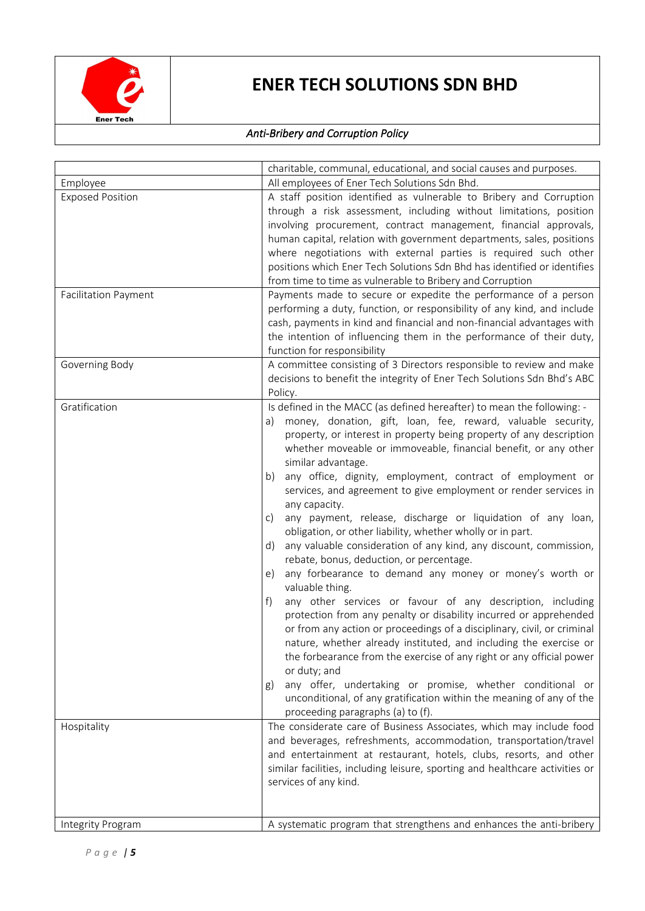

## *Anti-Bribery and Corruption Policy*

|                                                        | charitable, communal, educational, and social causes and purposes.                                                                                                                                                                                                                                                                                                                                                                                                                                                                                                                                                                                                                                                                                                                                                                                                                                                                                                                                                                                                                                                                                                                                                                                                                                                                                                                   |
|--------------------------------------------------------|--------------------------------------------------------------------------------------------------------------------------------------------------------------------------------------------------------------------------------------------------------------------------------------------------------------------------------------------------------------------------------------------------------------------------------------------------------------------------------------------------------------------------------------------------------------------------------------------------------------------------------------------------------------------------------------------------------------------------------------------------------------------------------------------------------------------------------------------------------------------------------------------------------------------------------------------------------------------------------------------------------------------------------------------------------------------------------------------------------------------------------------------------------------------------------------------------------------------------------------------------------------------------------------------------------------------------------------------------------------------------------------|
| Employee                                               | All employees of Ener Tech Solutions Sdn Bhd.                                                                                                                                                                                                                                                                                                                                                                                                                                                                                                                                                                                                                                                                                                                                                                                                                                                                                                                                                                                                                                                                                                                                                                                                                                                                                                                                        |
| <b>Exposed Position</b><br><b>Facilitation Payment</b> | A staff position identified as vulnerable to Bribery and Corruption<br>through a risk assessment, including without limitations, position<br>involving procurement, contract management, financial approvals,<br>human capital, relation with government departments, sales, positions<br>where negotiations with external parties is required such other<br>positions which Ener Tech Solutions Sdn Bhd has identified or identifies<br>from time to time as vulnerable to Bribery and Corruption<br>Payments made to secure or expedite the performance of a person<br>performing a duty, function, or responsibility of any kind, and include<br>cash, payments in kind and financial and non-financial advantages with                                                                                                                                                                                                                                                                                                                                                                                                                                                                                                                                                                                                                                                           |
|                                                        | the intention of influencing them in the performance of their duty,                                                                                                                                                                                                                                                                                                                                                                                                                                                                                                                                                                                                                                                                                                                                                                                                                                                                                                                                                                                                                                                                                                                                                                                                                                                                                                                  |
| Governing Body                                         | function for responsibility<br>A committee consisting of 3 Directors responsible to review and make<br>decisions to benefit the integrity of Ener Tech Solutions Sdn Bhd's ABC<br>Policy.                                                                                                                                                                                                                                                                                                                                                                                                                                                                                                                                                                                                                                                                                                                                                                                                                                                                                                                                                                                                                                                                                                                                                                                            |
| Gratification                                          | Is defined in the MACC (as defined hereafter) to mean the following: -<br>money, donation, gift, loan, fee, reward, valuable security,<br>a)<br>property, or interest in property being property of any description<br>whether moveable or immoveable, financial benefit, or any other<br>similar advantage.<br>any office, dignity, employment, contract of employment or<br>b)<br>services, and agreement to give employment or render services in<br>any capacity.<br>any payment, release, discharge or liquidation of any loan,<br>C)<br>obligation, or other liability, whether wholly or in part.<br>any valuable consideration of any kind, any discount, commission,<br>d)<br>rebate, bonus, deduction, or percentage.<br>any forbearance to demand any money or money's worth or<br>e)<br>valuable thing.<br>any other services or favour of any description, including<br>f)<br>protection from any penalty or disability incurred or apprehended<br>or from any action or proceedings of a disciplinary, civil, or criminal<br>nature, whether already instituted, and including the exercise or<br>the forbearance from the exercise of any right or any official power<br>or duty; and<br>any offer, undertaking or promise, whether conditional or<br>g)<br>unconditional, of any gratification within the meaning of any of the<br>proceeding paragraphs (a) to (f). |
| Hospitality                                            | The considerate care of Business Associates, which may include food<br>and beverages, refreshments, accommodation, transportation/travel<br>and entertainment at restaurant, hotels, clubs, resorts, and other<br>similar facilities, including leisure, sporting and healthcare activities or<br>services of any kind.                                                                                                                                                                                                                                                                                                                                                                                                                                                                                                                                                                                                                                                                                                                                                                                                                                                                                                                                                                                                                                                              |
| Integrity Program                                      | A systematic program that strengthens and enhances the anti-bribery                                                                                                                                                                                                                                                                                                                                                                                                                                                                                                                                                                                                                                                                                                                                                                                                                                                                                                                                                                                                                                                                                                                                                                                                                                                                                                                  |
|                                                        |                                                                                                                                                                                                                                                                                                                                                                                                                                                                                                                                                                                                                                                                                                                                                                                                                                                                                                                                                                                                                                                                                                                                                                                                                                                                                                                                                                                      |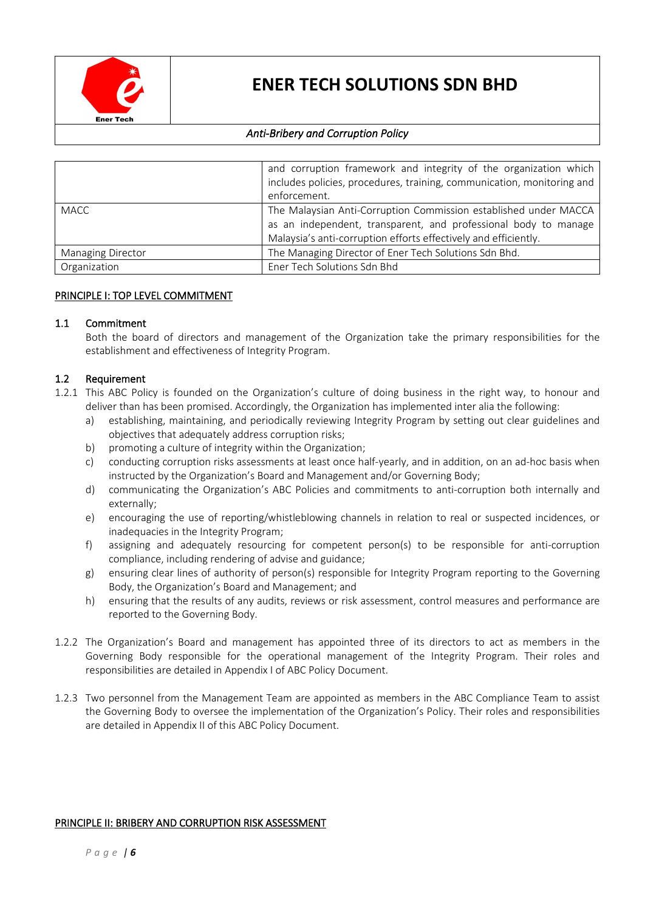

## *Anti-Bribery and Corruption Policy*

|                   | and corruption framework and integrity of the organization which<br>includes policies, procedures, training, communication, monitoring and<br>enforcement.                                             |
|-------------------|--------------------------------------------------------------------------------------------------------------------------------------------------------------------------------------------------------|
| <b>MACC</b>       | The Malaysian Anti-Corruption Commission established under MACCA<br>as an independent, transparent, and professional body to manage<br>Malaysia's anti-corruption efforts effectively and efficiently. |
| Managing Director | The Managing Director of Ener Tech Solutions Sdn Bhd.                                                                                                                                                  |
| Organization      | Ener Tech Solutions Sdn Bhd                                                                                                                                                                            |

#### PRINCIPLE I: TOP LEVEL COMMITMENT

### 1.1 Commitment

Both the board of directors and management of the Organization take the primary responsibilities for the establishment and effectiveness of Integrity Program.

#### 1.2 Requirement

- 1.2.1 This ABC Policy is founded on the Organization's culture of doing business in the right way, to honour and deliver than has been promised. Accordingly, the Organization has implemented inter alia the following:
	- a) establishing, maintaining, and periodically reviewing Integrity Program by setting out clear guidelines and objectives that adequately address corruption risks;
	- b) promoting a culture of integrity within the Organization;
	- c) conducting corruption risks assessments at least once half-yearly, and in addition, on an ad-hoc basis when instructed by the Organization's Board and Management and/or Governing Body;
	- d) communicating the Organization's ABC Policies and commitments to anti-corruption both internally and externally;
	- e) encouraging the use of reporting/whistleblowing channels in relation to real or suspected incidences, or inadequacies in the Integrity Program;
	- f) assigning and adequately resourcing for competent person(s) to be responsible for anti-corruption compliance, including rendering of advise and guidance;
	- g) ensuring clear lines of authority of person(s) responsible for Integrity Program reporting to the Governing Body, the Organization's Board and Management; and
	- h) ensuring that the results of any audits, reviews or risk assessment, control measures and performance are reported to the Governing Body.
- 1.2.2 The Organization's Board and management has appointed three of its directors to act as members in the Governing Body responsible for the operational management of the Integrity Program. Their roles and responsibilities are detailed in Appendix I of ABC Policy Document.
- 1.2.3 Two personnel from the Management Team are appointed as members in the ABC Compliance Team to assist the Governing Body to oversee the implementation of the Organization's Policy. Their roles and responsibilities are detailed in Appendix II of this ABC Policy Document.

### PRINCIPLE II: BRIBERY AND CORRUPTION RISK ASSESSMENT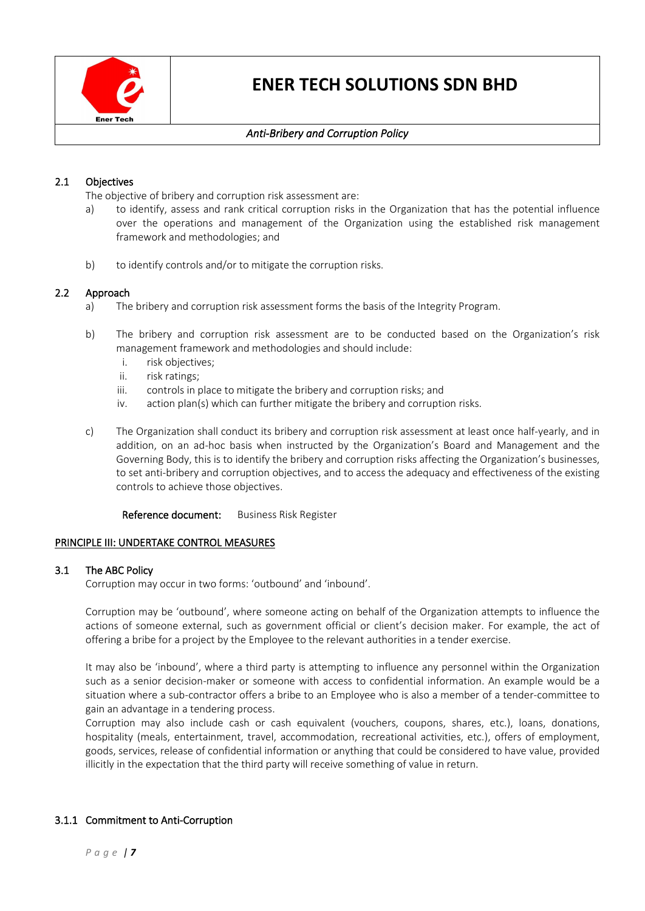

## *Anti-Bribery and Corruption Policy*

## 2.1 Objectives

The objective of bribery and corruption risk assessment are:

- a) to identify, assess and rank critical corruption risks in the Organization that has the potential influence over the operations and management of the Organization using the established risk management framework and methodologies; and
- b) to identify controls and/or to mitigate the corruption risks.

### 2.2 Approach

- a) The bribery and corruption risk assessment forms the basis of the Integrity Program.
- b) The bribery and corruption risk assessment are to be conducted based on the Organization's risk management framework and methodologies and should include:
	- i. risk objectives;
	- ii. risk ratings;
	- iii. controls in place to mitigate the bribery and corruption risks; and
	- iv. action plan(s) which can further mitigate the bribery and corruption risks.
- c) The Organization shall conduct its bribery and corruption risk assessment at least once half-yearly, and in addition, on an ad-hoc basis when instructed by the Organization's Board and Management and the Governing Body, this is to identify the bribery and corruption risks affecting the Organization's businesses, to set anti-bribery and corruption objectives, and to access the adequacy and effectiveness of the existing controls to achieve those objectives.

Reference document: Business Risk Register

#### PRINCIPLE III: UNDERTAKE CONTROL MEASURES

#### 3.1 The ABC Policy

Corruption may occur in two forms: 'outbound' and 'inbound'.

Corruption may be 'outbound', where someone acting on behalf of the Organization attempts to influence the actions of someone external, such as government official or client's decision maker. For example, the act of offering a bribe for a project by the Employee to the relevant authorities in a tender exercise.

It may also be 'inbound', where a third party is attempting to influence any personnel within the Organization such as a senior decision-maker or someone with access to confidential information. An example would be a situation where a sub-contractor offers a bribe to an Employee who is also a member of a tender-committee to gain an advantage in a tendering process.

Corruption may also include cash or cash equivalent (vouchers, coupons, shares, etc.), loans, donations, hospitality (meals, entertainment, travel, accommodation, recreational activities, etc.), offers of employment, goods, services, release of confidential information or anything that could be considered to have value, provided illicitly in the expectation that the third party will receive something of value in return.

### 3.1.1 Commitment to Anti-Corruption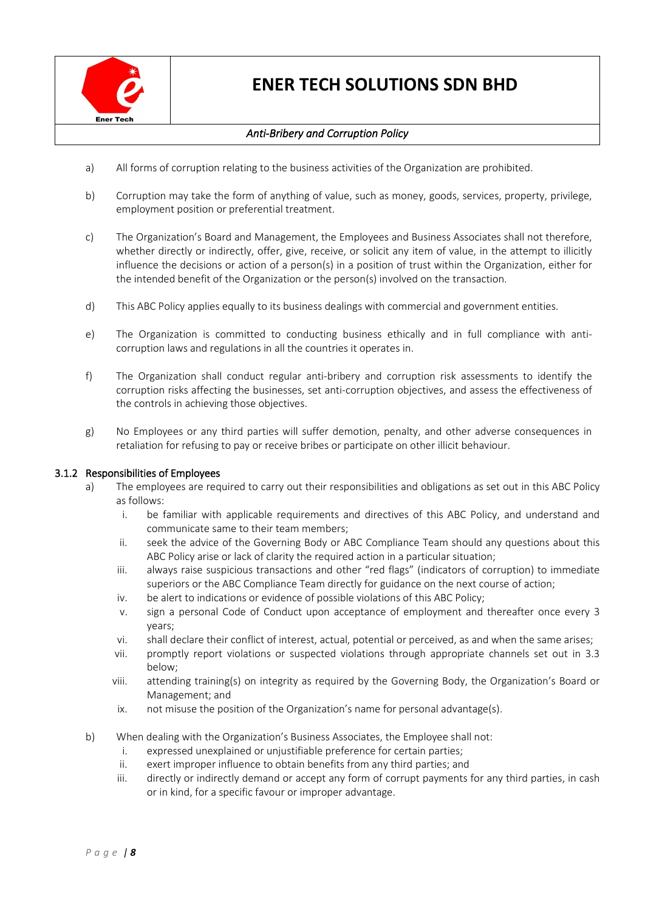

## *Anti-Bribery and Corruption Policy*

- a) All forms of corruption relating to the business activities of the Organization are prohibited.
- b) Corruption may take the form of anything of value, such as money, goods, services, property, privilege, employment position or preferential treatment.
- c) The Organization's Board and Management, the Employees and Business Associates shall not therefore, whether directly or indirectly, offer, give, receive, or solicit any item of value, in the attempt to illicitly influence the decisions or action of a person(s) in a position of trust within the Organization, either for the intended benefit of the Organization or the person(s) involved on the transaction.
- d) This ABC Policy applies equally to its business dealings with commercial and government entities.
- e) The Organization is committed to conducting business ethically and in full compliance with anticorruption laws and regulations in all the countries it operates in.
- f) The Organization shall conduct regular anti-bribery and corruption risk assessments to identify the corruption risks affecting the businesses, set anti-corruption objectives, and assess the effectiveness of the controls in achieving those objectives.
- g) No Employees or any third parties will suffer demotion, penalty, and other adverse consequences in retaliation for refusing to pay or receive bribes or participate on other illicit behaviour.

### 3.1.2 Responsibilities of Employees

- a) The employees are required to carry out their responsibilities and obligations as set out in this ABC Policy as follows:
	- i. be familiar with applicable requirements and directives of this ABC Policy, and understand and communicate same to their team members;
	- ii. seek the advice of the Governing Body or ABC Compliance Team should any questions about this ABC Policy arise or lack of clarity the required action in a particular situation;
	- iii. always raise suspicious transactions and other "red flags" (indicators of corruption) to immediate superiors or the ABC Compliance Team directly for guidance on the next course of action;
	- iv. be alert to indications or evidence of possible violations of this ABC Policy;
	- v. sign a personal Code of Conduct upon acceptance of employment and thereafter once every 3 years;
	- vi. shall declare their conflict of interest, actual, potential or perceived, as and when the same arises;
	- vii. promptly report violations or suspected violations through appropriate channels set out in 3.3 below;
	- viii. attending training(s) on integrity as required by the Governing Body, the Organization's Board or Management; and
	- ix. not misuse the position of the Organization's name for personal advantage(s).
- b) When dealing with the Organization's Business Associates, the Employee shall not:
	- i. expressed unexplained or unjustifiable preference for certain parties;
	- ii. exert improper influence to obtain benefits from any third parties; and
	- iii. directly or indirectly demand or accept any form of corrupt payments for any third parties, in cash or in kind, for a specific favour or improper advantage.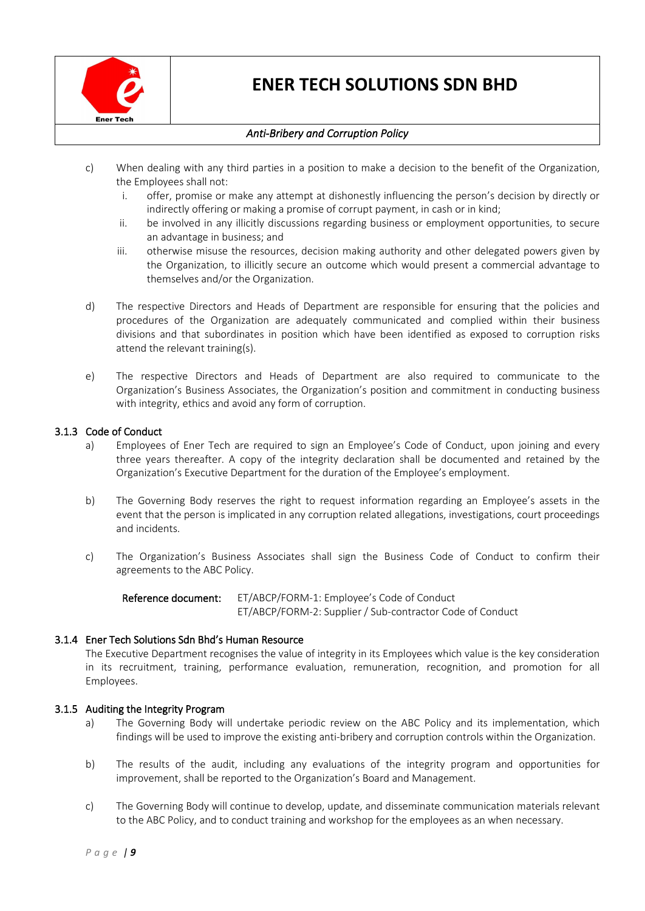

## *Anti-Bribery and Corruption Policy*

- c) When dealing with any third parties in a position to make a decision to the benefit of the Organization, the Employees shall not:
	- i. offer, promise or make any attempt at dishonestly influencing the person's decision by directly or indirectly offering or making a promise of corrupt payment, in cash or in kind;
	- ii. be involved in any illicitly discussions regarding business or employment opportunities, to secure an advantage in business; and
	- iii. otherwise misuse the resources, decision making authority and other delegated powers given by the Organization, to illicitly secure an outcome which would present a commercial advantage to themselves and/or the Organization.
- d) The respective Directors and Heads of Department are responsible for ensuring that the policies and procedures of the Organization are adequately communicated and complied within their business divisions and that subordinates in position which have been identified as exposed to corruption risks attend the relevant training(s).
- e) The respective Directors and Heads of Department are also required to communicate to the Organization's Business Associates, the Organization's position and commitment in conducting business with integrity, ethics and avoid any form of corruption.

### 3.1.3 Code of Conduct

- a) Employees of Ener Tech are required to sign an Employee's Code of Conduct, upon joining and every three years thereafter. A copy of the integrity declaration shall be documented and retained by the Organization's Executive Department for the duration of the Employee's employment.
- b) The Governing Body reserves the right to request information regarding an Employee's assets in the event that the person is implicated in any corruption related allegations, investigations, court proceedings and incidents.
- c) The Organization's Business Associates shall sign the Business Code of Conduct to confirm their agreements to the ABC Policy.

Reference document: ET/ABCP/FORM-1: Employee's Code of Conduct ET/ABCP/FORM-2: Supplier / Sub-contractor Code of Conduct

### 3.1.4 Ener Tech Solutions Sdn Bhd's Human Resource

The Executive Department recognises the value of integrity in its Employees which value is the key consideration in its recruitment, training, performance evaluation, remuneration, recognition, and promotion for all Employees.

### 3.1.5 Auditing the Integrity Program

- a) The Governing Body will undertake periodic review on the ABC Policy and its implementation, which findings will be used to improve the existing anti-bribery and corruption controls within the Organization.
- b) The results of the audit, including any evaluations of the integrity program and opportunities for improvement, shall be reported to the Organization's Board and Management.
- c) The Governing Body will continue to develop, update, and disseminate communication materials relevant to the ABC Policy, and to conduct training and workshop for the employees as an when necessary.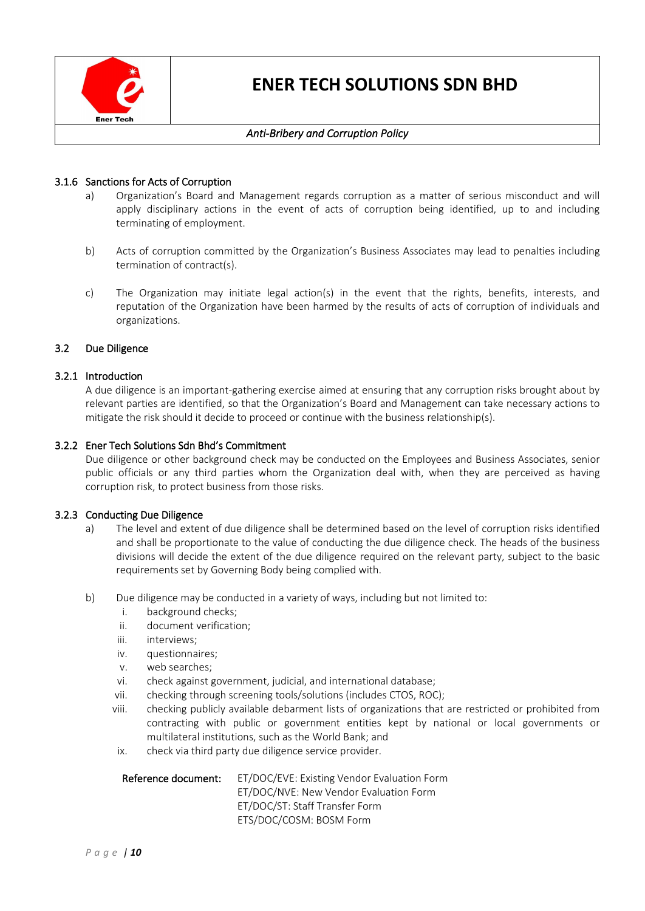

### *Anti-Bribery and Corruption Policy*

### 3.1.6 Sanctions for Acts of Corruption

- a) Organization's Board and Management regards corruption as a matter of serious misconduct and will apply disciplinary actions in the event of acts of corruption being identified, up to and including terminating of employment.
- b) Acts of corruption committed by the Organization's Business Associates may lead to penalties including termination of contract(s).
- c) The Organization may initiate legal action(s) in the event that the rights, benefits, interests, and reputation of the Organization have been harmed by the results of acts of corruption of individuals and organizations.

### 3.2 Due Diligence

### 3.2.1 Introduction

A due diligence is an important-gathering exercise aimed at ensuring that any corruption risks brought about by relevant parties are identified, so that the Organization's Board and Management can take necessary actions to mitigate the risk should it decide to proceed or continue with the business relationship(s).

### 3.2.2 Ener Tech Solutions Sdn Bhd's Commitment

Due diligence or other background check may be conducted on the Employees and Business Associates, senior public officials or any third parties whom the Organization deal with, when they are perceived as having corruption risk, to protect business from those risks.

### 3.2.3 Conducting Due Diligence

- a) The level and extent of due diligence shall be determined based on the level of corruption risks identified and shall be proportionate to the value of conducting the due diligence check. The heads of the business divisions will decide the extent of the due diligence required on the relevant party, subject to the basic requirements set by Governing Body being complied with.
- b) Due diligence may be conducted in a variety of ways, including but not limited to:
	- i. background checks;
	- ii. document verification;
	- iii. interviews;
	- iv. questionnaires;
	- v. web searches;
	- vi. check against government, judicial, and international database;
	- vii. checking through screening tools/solutions (includes CTOS, ROC);
	- viii. checking publicly available debarment lists of organizations that are restricted or prohibited from contracting with public or government entities kept by national or local governments or multilateral institutions, such as the World Bank; and
	- ix. check via third party due diligence service provider.

| Reference document: | ET/DOC/EVE: Existing Vendor Evaluation Form |
|---------------------|---------------------------------------------|
|                     | ET/DOC/NVE: New Vendor Evaluation Form      |
|                     | ET/DOC/ST: Staff Transfer Form              |
|                     | ETS/DOC/COSM: BOSM Form                     |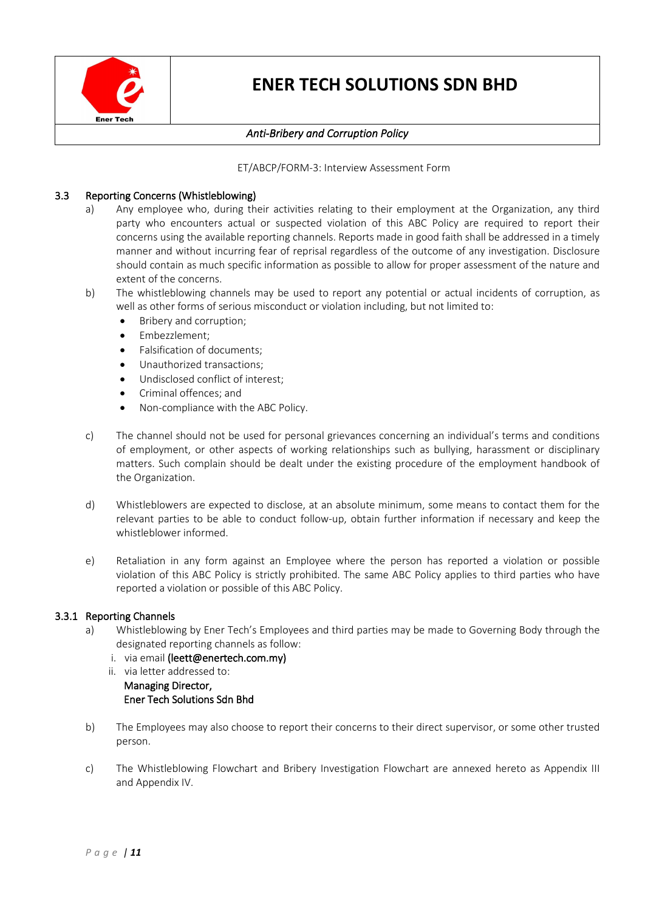

## *Anti-Bribery and Corruption Policy*

ET/ABCP/FORM-3: Interview Assessment Form

### 3.3 Reporting Concerns (Whistleblowing)

- a) Any employee who, during their activities relating to their employment at the Organization, any third party who encounters actual or suspected violation of this ABC Policy are required to report their concerns using the available reporting channels. Reports made in good faith shall be addressed in a timely manner and without incurring fear of reprisal regardless of the outcome of any investigation. Disclosure should contain as much specific information as possible to allow for proper assessment of the nature and extent of the concerns.
- b) The whistleblowing channels may be used to report any potential or actual incidents of corruption, as well as other forms of serious misconduct or violation including, but not limited to:
	- Bribery and corruption;
	- Embezzlement;
	- Falsification of documents;
	- Unauthorized transactions;
	- Undisclosed conflict of interest;
	- Criminal offences; and
	- Non-compliance with the ABC Policy.
- c) The channel should not be used for personal grievances concerning an individual's terms and conditions of employment, or other aspects of working relationships such as bullying, harassment or disciplinary matters. Such complain should be dealt under the existing procedure of the employment handbook of the Organization.
- d) Whistleblowers are expected to disclose, at an absolute minimum, some means to contact them for the relevant parties to be able to conduct follow-up, obtain further information if necessary and keep the whistleblower informed.
- e) Retaliation in any form against an Employee where the person has reported a violation or possible violation of this ABC Policy is strictly prohibited. The same ABC Policy applies to third parties who have reported a violation or possible of this ABC Policy.

### 3.3.1 Reporting Channels

- a) Whistleblowing by Ener Tech's Employees and third parties may be made to Governing Body through the designated reporting channels as follow:
	- i. via email (leett@enertech.com.my)
	- ii. via letter addressed to: Managing Director, Ener Tech Solutions Sdn Bhd
- b) The Employees may also choose to report their concerns to their direct supervisor, or some other trusted person.
- c) The Whistleblowing Flowchart and Bribery Investigation Flowchart are annexed hereto as Appendix III and Appendix IV.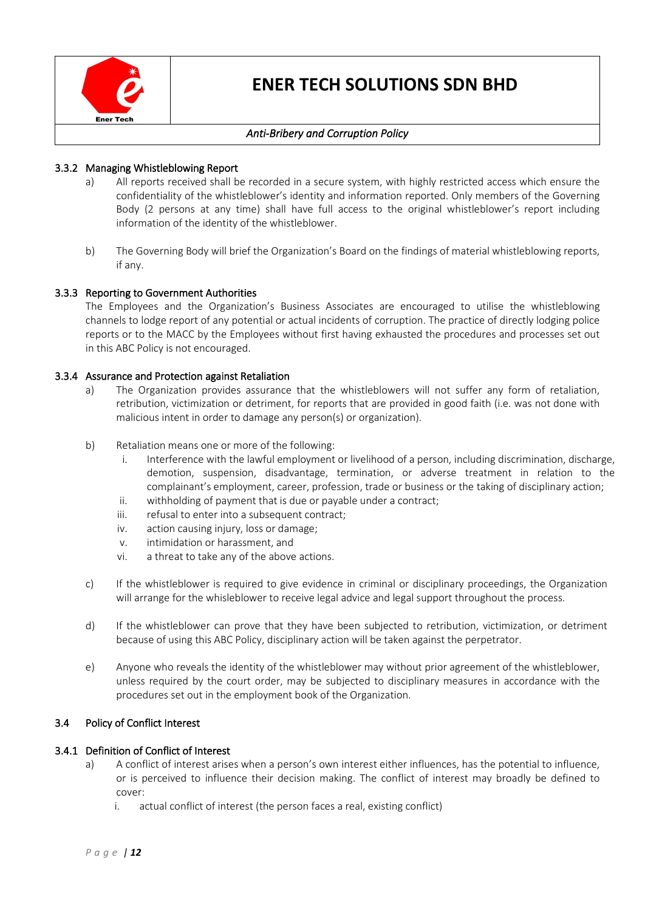

## *Anti-Bribery and Corruption Policy*

### 3.3.2 Managing Whistleblowing Report

- a) All reports received shall be recorded in a secure system, with highly restricted access which ensure the confidentiality of the whistleblower's identity and information reported. Only members of the Governing Body (2 persons at any time) shall have full access to the original whistleblower's report including information of the identity of the whistleblower.
- b) The Governing Body will brief the Organization's Board on the findings of material whistleblowing reports, if any.

### 3.3.3 Reporting to Government Authorities

The Employees and the Organization's Business Associates are encouraged to utilise the whistleblowing channels to lodge report of any potential or actual incidents of corruption. The practice of directly lodging police reports or to the MACC by the Employees without first having exhausted the procedures and processes set out in this ABC Policy is not encouraged.

### 3.3.4 Assurance and Protection against Retaliation

- a) The Organization provides assurance that the whistleblowers will not suffer any form of retaliation, retribution, victimization or detriment, for reports that are provided in good faith (i.e. was not done with malicious intent in order to damage any person(s) or organization).
- b) Retaliation means one or more of the following:
	- i. Interference with the lawful employment or livelihood of a person, including discrimination, discharge, demotion, suspension, disadvantage, termination, or adverse treatment in relation to the complainant's employment, career, profession, trade or business or the taking of disciplinary action;
	- ii. withholding of payment that is due or payable under a contract;
	- iii. refusal to enter into a subsequent contract;
	- iv. action causing injury, loss or damage;
	- v. intimidation or harassment, and
	- vi. a threat to take any of the above actions.
- c) If the whistleblower is required to give evidence in criminal or disciplinary proceedings, the Organization will arrange for the whisleblower to receive legal advice and legal support throughout the process.
- d) If the whistleblower can prove that they have been subjected to retribution, victimization, or detriment because of using this ABC Policy, disciplinary action will be taken against the perpetrator.
- e) Anyone who reveals the identity of the whistleblower may without prior agreement of the whistleblower, unless required by the court order, may be subjected to disciplinary measures in accordance with the procedures set out in the employment book of the Organization.

### 3.4 Policy of Conflict Interest

### 3.4.1 Definition of Conflict of Interest

- a) A conflict of interest arises when a person's own interest either influences, has the potential to influence, or is perceived to influence their decision making. The conflict of interest may broadly be defined to cover:
	- i. actual conflict of interest (the person faces a real, existing conflict)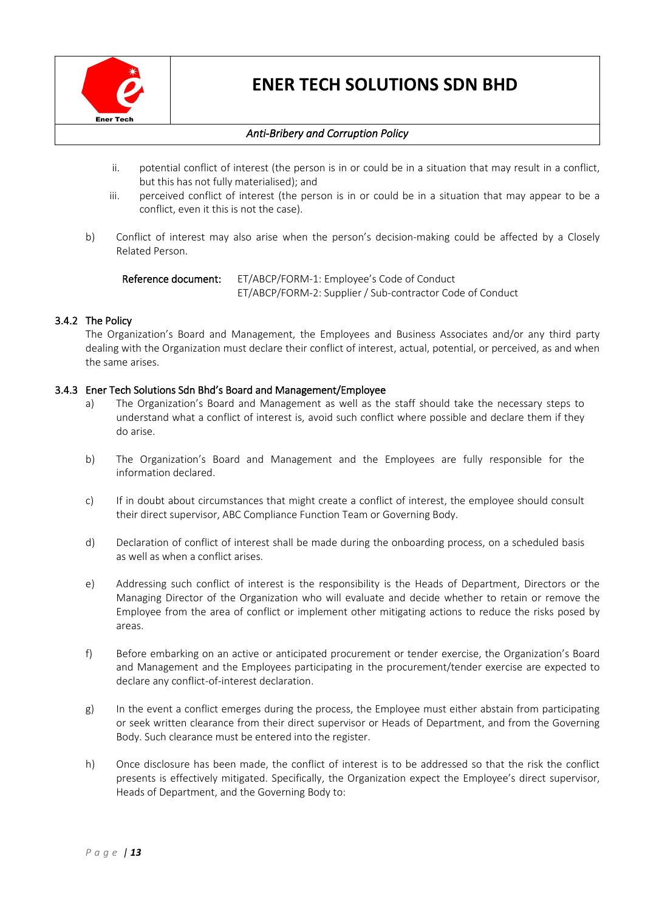

## *Anti-Bribery and Corruption Policy*

- ii. potential conflict of interest (the person is in or could be in a situation that may result in a conflict, but this has not fully materialised); and
- iii. perceived conflict of interest (the person is in or could be in a situation that may appear to be a conflict, even it this is not the case).
- b) Conflict of interest may also arise when the person's decision-making could be affected by a Closely Related Person.

Reference document: ET/ABCP/FORM-1: Employee's Code of Conduct ET/ABCP/FORM-2: Supplier / Sub-contractor Code of Conduct

### 3.4.2 The Policy

The Organization's Board and Management, the Employees and Business Associates and/or any third party dealing with the Organization must declare their conflict of interest, actual, potential, or perceived, as and when the same arises.

### 3.4.3 Ener Tech Solutions Sdn Bhd's Board and Management/Employee

- a) The Organization's Board and Management as well as the staff should take the necessary steps to understand what a conflict of interest is, avoid such conflict where possible and declare them if they do arise.
- b) The Organization's Board and Management and the Employees are fully responsible for the information declared.
- c) If in doubt about circumstances that might create a conflict of interest, the employee should consult their direct supervisor, ABC Compliance Function Team or Governing Body.
- d) Declaration of conflict of interest shall be made during the onboarding process, on a scheduled basis as well as when a conflict arises.
- e) Addressing such conflict of interest is the responsibility is the Heads of Department, Directors or the Managing Director of the Organization who will evaluate and decide whether to retain or remove the Employee from the area of conflict or implement other mitigating actions to reduce the risks posed by areas.
- f) Before embarking on an active or anticipated procurement or tender exercise, the Organization's Board and Management and the Employees participating in the procurement/tender exercise are expected to declare any conflict-of-interest declaration.
- g) In the event a conflict emerges during the process, the Employee must either abstain from participating or seek written clearance from their direct supervisor or Heads of Department, and from the Governing Body. Such clearance must be entered into the register.
- h) Once disclosure has been made, the conflict of interest is to be addressed so that the risk the conflict presents is effectively mitigated. Specifically, the Organization expect the Employee's direct supervisor, Heads of Department, and the Governing Body to: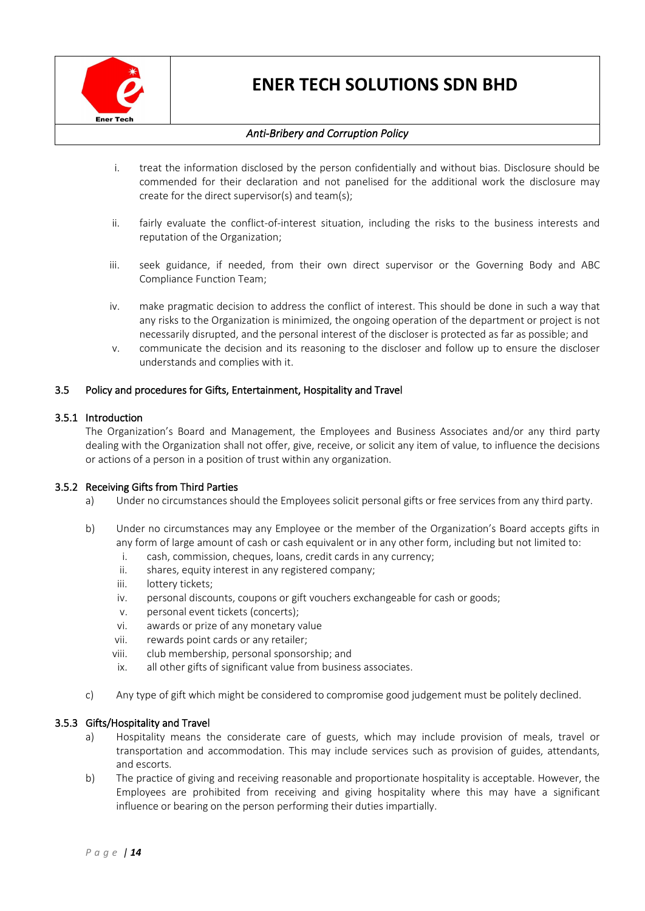

## *Anti-Bribery and Corruption Policy*

- i. treat the information disclosed by the person confidentially and without bias. Disclosure should be commended for their declaration and not panelised for the additional work the disclosure may create for the direct supervisor(s) and team(s);
- ii. fairly evaluate the conflict-of-interest situation, including the risks to the business interests and reputation of the Organization;
- iii. seek guidance, if needed, from their own direct supervisor or the Governing Body and ABC Compliance Function Team;
- iv. make pragmatic decision to address the conflict of interest. This should be done in such a way that any risks to the Organization is minimized, the ongoing operation of the department or project is not necessarily disrupted, and the personal interest of the discloser is protected as far as possible; and
- v. communicate the decision and its reasoning to the discloser and follow up to ensure the discloser understands and complies with it.

### 3.5 Policy and procedures for Gifts, Entertainment, Hospitality and Travel

### 3.5.1 Introduction

The Organization's Board and Management, the Employees and Business Associates and/or any third party dealing with the Organization shall not offer, give, receive, or solicit any item of value, to influence the decisions or actions of a person in a position of trust within any organization.

### 3.5.2 Receiving Gifts from Third Parties

- a) Under no circumstances should the Employees solicit personal gifts or free services from any third party.
- b) Under no circumstances may any Employee or the member of the Organization's Board accepts gifts in any form of large amount of cash or cash equivalent or in any other form, including but not limited to:
	- i. cash, commission, cheques, loans, credit cards in any currency;
	- ii. shares, equity interest in any registered company;
	- iii. lottery tickets;
	- iv. personal discounts, coupons or gift vouchers exchangeable for cash or goods;
	- v. personal event tickets (concerts);
	- vi. awards or prize of any monetary value
	- vii. rewards point cards or any retailer;
	- viii. club membership, personal sponsorship; and
	- ix. all other gifts of significant value from business associates.
- c) Any type of gift which might be considered to compromise good judgement must be politely declined.

### 3.5.3 Gifts/Hospitality and Travel

- a) Hospitality means the considerate care of guests, which may include provision of meals, travel or transportation and accommodation. This may include services such as provision of guides, attendants, and escorts.
- b) The practice of giving and receiving reasonable and proportionate hospitality is acceptable. However, the Employees are prohibited from receiving and giving hospitality where this may have a significant influence or bearing on the person performing their duties impartially.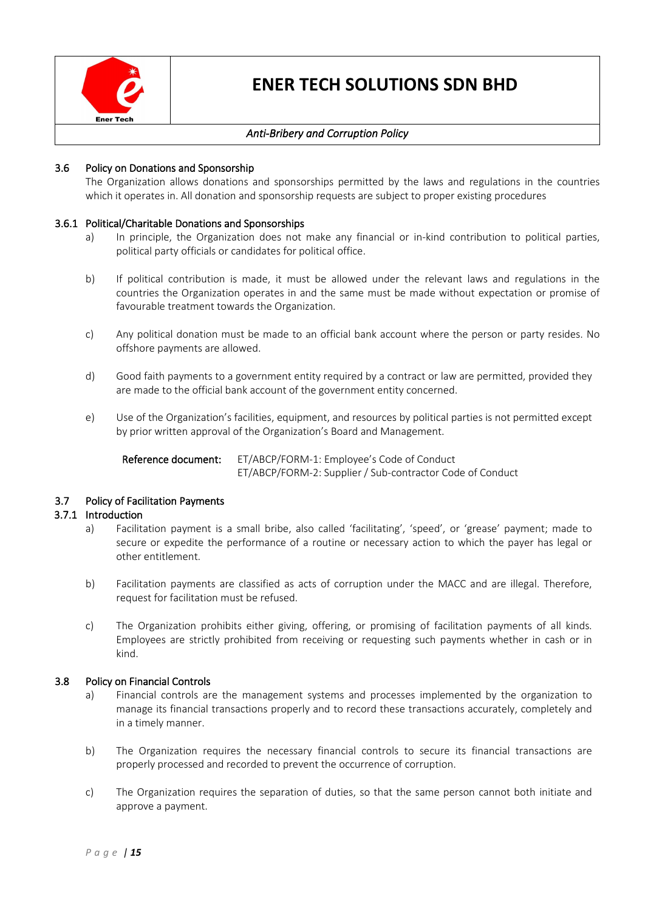

### *Anti-Bribery and Corruption Policy*

### 3.6 Policy on Donations and Sponsorship

The Organization allows donations and sponsorships permitted by the laws and regulations in the countries which it operates in. All donation and sponsorship requests are subject to proper existing procedures

### 3.6.1 Political/Charitable Donations and Sponsorships

- a) In principle, the Organization does not make any financial or in-kind contribution to political parties, political party officials or candidates for political office.
- b) If political contribution is made, it must be allowed under the relevant laws and regulations in the countries the Organization operates in and the same must be made without expectation or promise of favourable treatment towards the Organization.
- c) Any political donation must be made to an official bank account where the person or party resides. No offshore payments are allowed.
- d) Good faith payments to a government entity required by a contract or law are permitted, provided they are made to the official bank account of the government entity concerned.
- e) Use of the Organization's facilities, equipment, and resources by political parties is not permitted except by prior written approval of the Organization's Board and Management.

Reference document: ET/ABCP/FORM-1: Employee's Code of Conduct ET/ABCP/FORM-2: Supplier / Sub-contractor Code of Conduct

### 3.7 Policy of Facilitation Payments

#### 3.7.1 Introduction

- a) Facilitation payment is a small bribe, also called 'facilitating', 'speed', or 'grease' payment; made to secure or expedite the performance of a routine or necessary action to which the payer has legal or other entitlement.
- b) Facilitation payments are classified as acts of corruption under the MACC and are illegal. Therefore, request for facilitation must be refused.
- c) The Organization prohibits either giving, offering, or promising of facilitation payments of all kinds. Employees are strictly prohibited from receiving or requesting such payments whether in cash or in kind.

#### 3.8 Policy on Financial Controls

- a) Financial controls are the management systems and processes implemented by the organization to manage its financial transactions properly and to record these transactions accurately, completely and in a timely manner.
- b) The Organization requires the necessary financial controls to secure its financial transactions are properly processed and recorded to prevent the occurrence of corruption.
- c) The Organization requires the separation of duties, so that the same person cannot both initiate and approve a payment.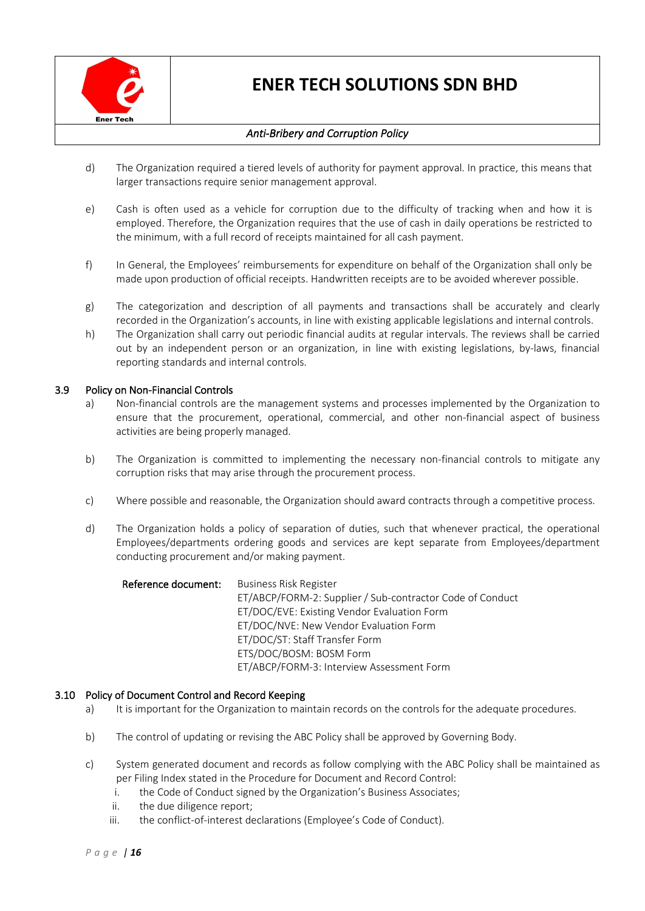

## *Anti-Bribery and Corruption Policy*

- d) The Organization required a tiered levels of authority for payment approval. In practice, this means that larger transactions require senior management approval.
- e) Cash is often used as a vehicle for corruption due to the difficulty of tracking when and how it is employed. Therefore, the Organization requires that the use of cash in daily operations be restricted to the minimum, with a full record of receipts maintained for all cash payment.
- f) In General, the Employees' reimbursements for expenditure on behalf of the Organization shall only be made upon production of official receipts. Handwritten receipts are to be avoided wherever possible.
- g) The categorization and description of all payments and transactions shall be accurately and clearly recorded in the Organization's accounts, in line with existing applicable legislations and internal controls.
- h) The Organization shall carry out periodic financial audits at regular intervals. The reviews shall be carried out by an independent person or an organization, in line with existing legislations, by-laws, financial reporting standards and internal controls.

### 3.9 Policy on Non-Financial Controls

- a) Non-financial controls are the management systems and processes implemented by the Organization to ensure that the procurement, operational, commercial, and other non-financial aspect of business activities are being properly managed.
- b) The Organization is committed to implementing the necessary non-financial controls to mitigate any corruption risks that may arise through the procurement process.
- c) Where possible and reasonable, the Organization should award contracts through a competitive process.
- d) The Organization holds a policy of separation of duties, such that whenever practical, the operational Employees/departments ordering goods and services are kept separate from Employees/department conducting procurement and/or making payment.

| Reference document: | <b>Business Risk Register</b>                             |
|---------------------|-----------------------------------------------------------|
|                     | ET/ABCP/FORM-2: Supplier / Sub-contractor Code of Conduct |
|                     | ET/DOC/EVE: Existing Vendor Evaluation Form               |
|                     | ET/DOC/NVE: New Vendor Evaluation Form                    |
|                     | ET/DOC/ST: Staff Transfer Form                            |
|                     | ETS/DOC/BOSM: BOSM Form                                   |
|                     | ET/ABCP/FORM-3: Interview Assessment Form                 |

### 3.10 Policy of Document Control and Record Keeping

- a) It is important for the Organization to maintain records on the controls for the adequate procedures.
- b) The control of updating or revising the ABC Policy shall be approved by Governing Body.
- c) System generated document and records as follow complying with the ABC Policy shall be maintained as per Filing Index stated in the Procedure for Document and Record Control:
	- i. the Code of Conduct signed by the Organization's Business Associates;
	- ii. the due diligence report;
	- iii. the conflict-of-interest declarations (Employee's Code of Conduct).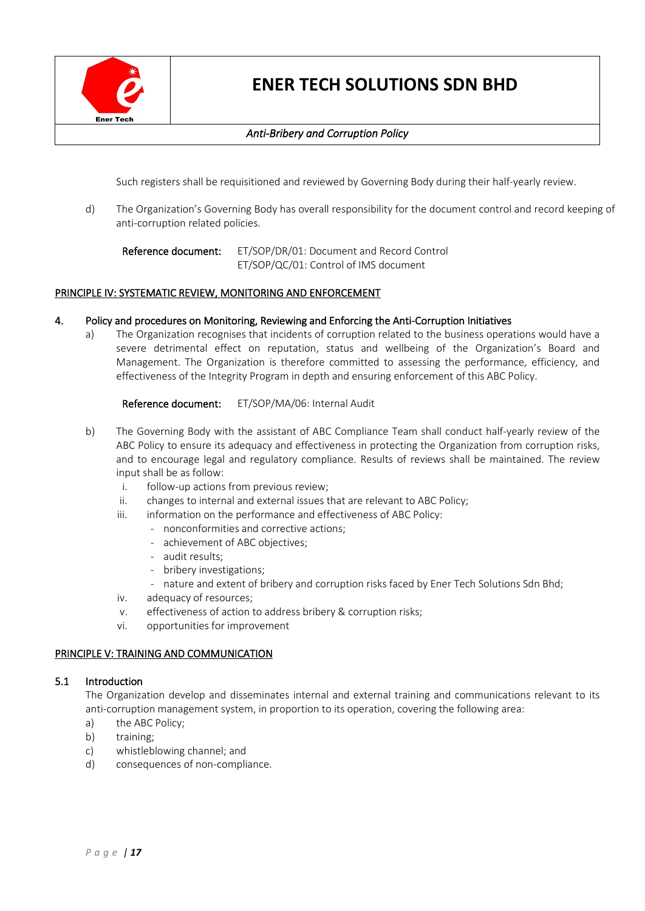

## *Anti-Bribery and Corruption Policy*

Such registers shall be requisitioned and reviewed by Governing Body during their half-yearly review.

d) The Organization's Governing Body has overall responsibility for the document control and record keeping of anti-corruption related policies.

Reference document: ET/SOP/DR/01: Document and Record Control ET/SOP/QC/01: Control of IMS document

### PRINCIPLE IV: SYSTEMATIC REVIEW, MONITORING AND ENFORCEMENT

### 4. Policy and procedures on Monitoring, Reviewing and Enforcing the Anti-Corruption Initiatives

a) The Organization recognises that incidents of corruption related to the business operations would have a severe detrimental effect on reputation, status and wellbeing of the Organization's Board and Management. The Organization is therefore committed to assessing the performance, efficiency, and effectiveness of the Integrity Program in depth and ensuring enforcement of this ABC Policy.

Reference document: ET/SOP/MA/06: Internal Audit

- b) The Governing Body with the assistant of ABC Compliance Team shall conduct half-yearly review of the ABC Policy to ensure its adequacy and effectiveness in protecting the Organization from corruption risks, and to encourage legal and regulatory compliance. Results of reviews shall be maintained. The review input shall be as follow:
	- i. follow-up actions from previous review;
	- ii. changes to internal and external issues that are relevant to ABC Policy;
	- iii. information on the performance and effectiveness of ABC Policy:
		- nonconformities and corrective actions;
		- achievement of ABC objectives;
		- audit results;
		- bribery investigations;
		- nature and extent of bribery and corruption risks faced by Ener Tech Solutions Sdn Bhd;
	- iv. adequacy of resources;
	- v. effectiveness of action to address bribery & corruption risks;
	- vi. opportunities for improvement

### PRINCIPLE V: TRAINING AND COMMUNICATION

#### 5.1 Introduction

The Organization develop and disseminates internal and external training and communications relevant to its anti-corruption management system, in proportion to its operation, covering the following area:

- a) the ABC Policy;
- b) training;
- c) whistleblowing channel; and
- d) consequences of non-compliance.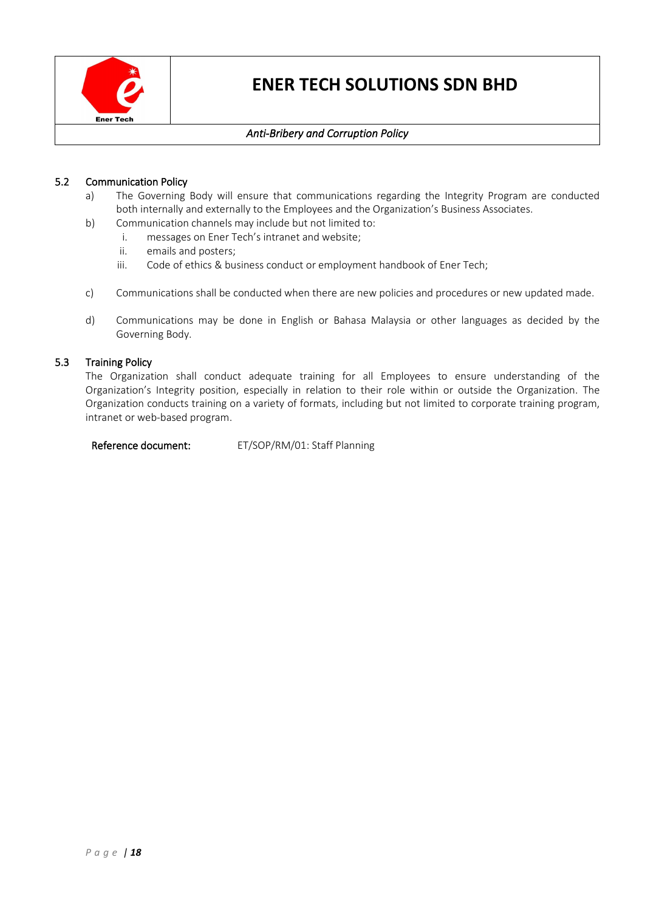

## *Anti-Bribery and Corruption Policy*

### 5.2 Communication Policy

- a) The Governing Body will ensure that communications regarding the Integrity Program are conducted both internally and externally to the Employees and the Organization's Business Associates.
- b) Communication channels may include but not limited to:
	- i. messages on Ener Tech's intranet and website;
	- ii. emails and posters;
	- iii. Code of ethics & business conduct or employment handbook of Ener Tech;
- c) Communications shall be conducted when there are new policies and procedures or new updated made.
- d) Communications may be done in English or Bahasa Malaysia or other languages as decided by the Governing Body.

### 5.3 Training Policy

The Organization shall conduct adequate training for all Employees to ensure understanding of the Organization's Integrity position, especially in relation to their role within or outside the Organization. The Organization conducts training on a variety of formats, including but not limited to corporate training program, intranet or web-based program.

Reference document: ET/SOP/RM/01: Staff Planning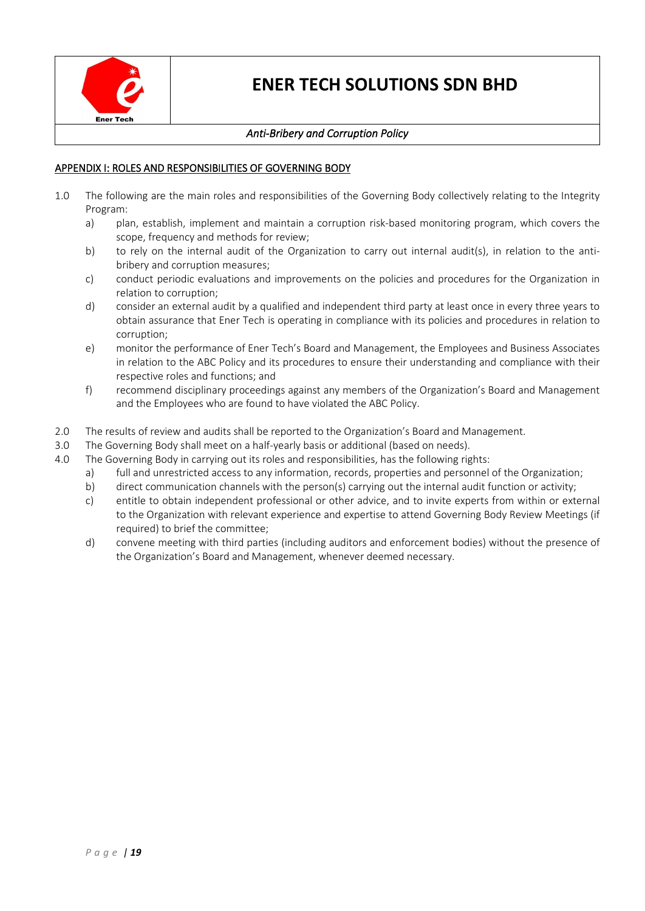

## *Anti-Bribery and Corruption Policy*

### APPENDIX I: ROLES AND RESPONSIBILITIES OF GOVERNING BODY

- 1.0 The following are the main roles and responsibilities of the Governing Body collectively relating to the Integrity Program:
	- a) plan, establish, implement and maintain a corruption risk-based monitoring program, which covers the scope, frequency and methods for review;
	- b) to rely on the internal audit of the Organization to carry out internal audit(s), in relation to the antibribery and corruption measures;
	- c) conduct periodic evaluations and improvements on the policies and procedures for the Organization in relation to corruption;
	- d) consider an external audit by a qualified and independent third party at least once in every three years to obtain assurance that Ener Tech is operating in compliance with its policies and procedures in relation to corruption;
	- e) monitor the performance of Ener Tech's Board and Management, the Employees and Business Associates in relation to the ABC Policy and its procedures to ensure their understanding and compliance with their respective roles and functions; and
	- f) recommend disciplinary proceedings against any members of the Organization's Board and Management and the Employees who are found to have violated the ABC Policy.
- 2.0 The results of review and audits shall be reported to the Organization's Board and Management.
- 3.0 The Governing Body shall meet on a half-yearly basis or additional (based on needs).
- 4.0 The Governing Body in carrying out its roles and responsibilities, has the following rights:
	- a) full and unrestricted access to any information, records, properties and personnel of the Organization;
	- b) direct communication channels with the person(s) carrying out the internal audit function or activity;
	- c) entitle to obtain independent professional or other advice, and to invite experts from within or external to the Organization with relevant experience and expertise to attend Governing Body Review Meetings (if required) to brief the committee;
	- d) convene meeting with third parties (including auditors and enforcement bodies) without the presence of the Organization's Board and Management, whenever deemed necessary.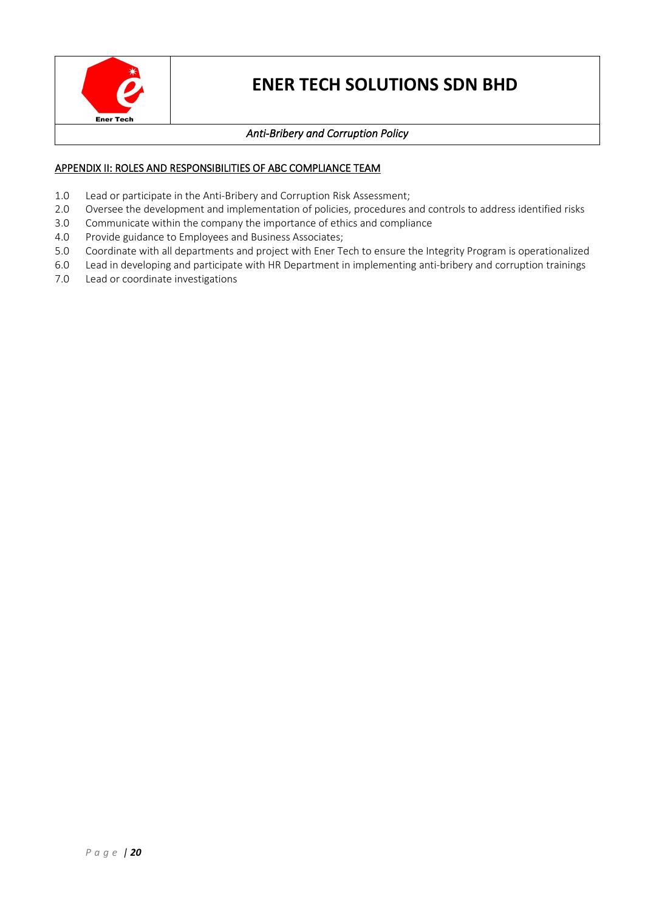

## *Anti-Bribery and Corruption Policy*

## APPENDIX II: ROLES AND RESPONSIBILITIES OF ABC COMPLIANCE TEAM

- 1.0 Lead or participate in the Anti-Bribery and Corruption Risk Assessment;
- 2.0 Oversee the development and implementation of policies, procedures and controls to address identified risks
- 3.0 Communicate within the company the importance of ethics and compliance
- 4.0 Provide guidance to Employees and Business Associates;
- 5.0 Coordinate with all departments and project with Ener Tech to ensure the Integrity Program is operationalized
- 6.0 Lead in developing and participate with HR Department in implementing anti-bribery and corruption trainings
- 7.0 Lead or coordinate investigations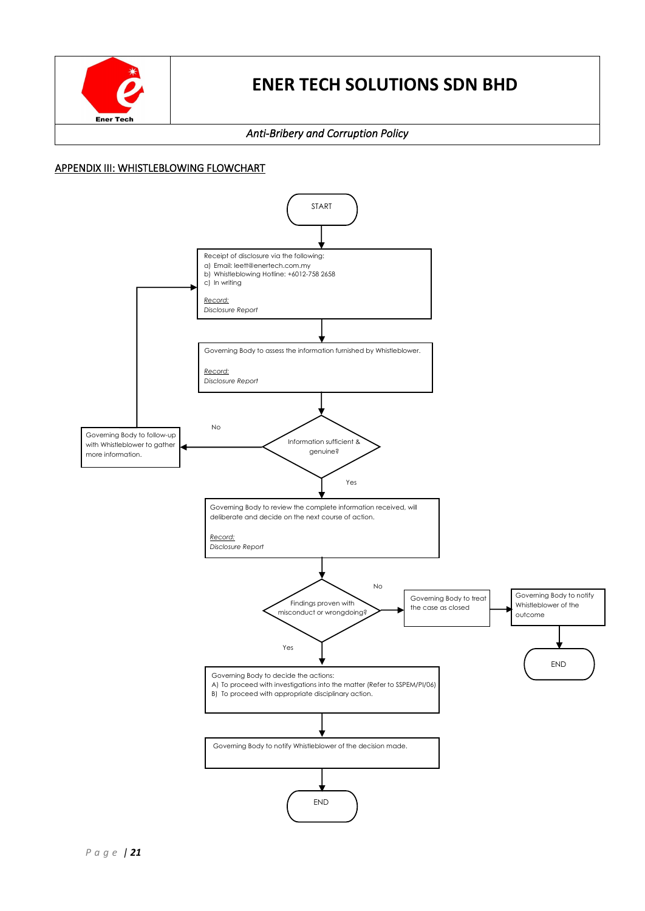

### *Anti-Bribery and Corruption Policy*

### APPENDIX III: WHISTLEBLOWING FLOWCHART